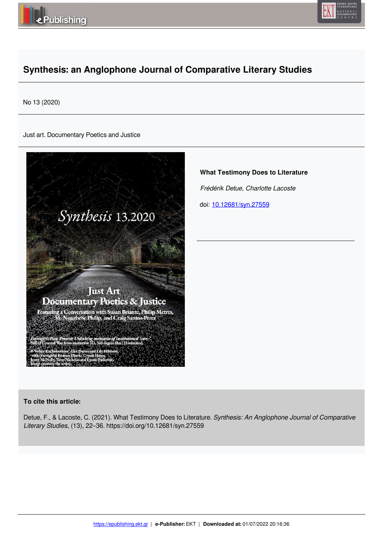



# **Synthesis: an Anglophone Journal of Comparative Literary Studies**

No 13 (2020)

Just art. Documentary Poetics and Justice



**What Testimony Does to Literature**

 *Frédérik Detue, Charlotte Lacoste* 

doi: 10.12681/syn.27559

## **To cite this article:**

Detue, F., & Lacoste, C. (2021). What Testimony Does to Literature. *Synthesis: An Anglophone Journal of Comparative Literary Studies*, (13), 22–36. https://doi.org/10.12681/syn.27559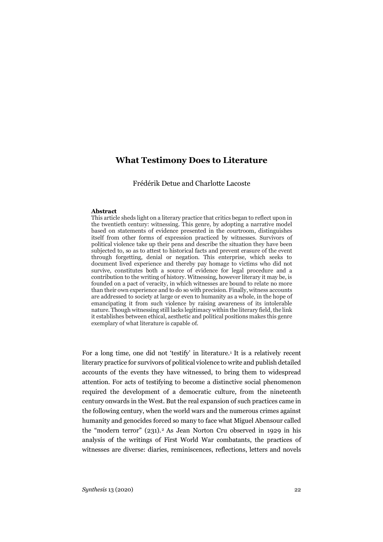# **What Testimony Does to Literature**

Frédérik Detue and Charlotte Lacoste

#### **Abstract**

This article sheds light on a literary practice that critics began to reflect upon in the twentieth century: witnessing. This genre, by adopting a narrative model based on statements of evidence presented in the courtroom, distinguishes itself from other forms of expression practiced by witnesses. Survivors of political violence take up their pens and describe the situation they have been subjected to, so as to attest to historical facts and prevent erasure of the event through forgetting, denial or negation. This enterprise, which seeks to document lived experience and thereby pay homage to victims who did not survive, constitutes both a source of evidence for legal procedure and a contribution to the writing of history. Witnessing, however literary it may be, is founded on a pact of veracity, in which witnesses are bound to relate no more than their own experience and to do so with precision. Finally, witness accounts are addressed to society at large or even to humanity as a whole, in the hope of emancipating it from such violence by raising awareness of its intolerable nature. Though witnessing still lacks legitimacy within the literary field, the link it establishes between ethical, aesthetic and political positions makes this genre exemplary of what literature is capable of.

For a long time, one did not 'testify' in literature.1 It is a relatively recent literary practice for survivors of political violence to write and publish detailed accounts of the events they have witnessed, to bring them to widespread attention. For acts of testifying to become a distinctive social phenomenon required the development of a democratic culture, from the nineteenth century onwards in the West. But the real expansion of such practices came in the following century, when the world wars and the numerous crimes against humanity and genocides forced so many to face what Miguel Abensour called the "modern terror" (231).2 As Jean Norton Cru observed in 1929 in his analysis of the writings of First World War combatants, the practices of witnesses are diverse: diaries, reminiscences, reflections, letters and novels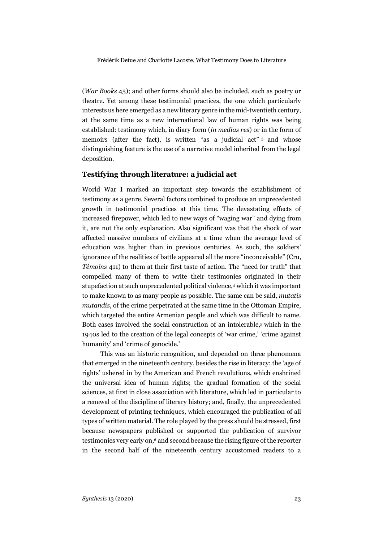(*War Books* 45); and other forms should also be included, such as poetry or theatre. Yet among these testimonial practices, the one which particularly interests us here emerged as a new literary genre in the mid-twentieth century, at the same time as a new international law of human rights was being established: testimony which, in diary form (*in medias res*) or in the form of memoirs (after the fact), is written "as a judicial act" 3 and whose distinguishing feature is the use of a narrative model inherited from the legal deposition.

### **Testifying through literature: a judicial act**

World War I marked an important step towards the establishment of testimony as a genre. Several factors combined to produce an unprecedented growth in testimonial practices at this time. The devastating effects of increased firepower, which led to new ways of "waging war" and dying from it, are not the only explanation. Also significant was that the shock of war affected massive numbers of civilians at a time when the average level of education was higher than in previous centuries. As such, the soldiers' ignorance of the realities of battle appeared all the more "inconceivable" (Cru, *Témoins* 411) to them at their first taste of action. The "need for truth" that compelled many of them to write their testimonies originated in their stupefaction at such unprecedented political violence,4 which it was important to make known to as many people as possible. The same can be said, *mutatis mutandis*, of the crime perpetrated at the same time in the Ottoman Empire, which targeted the entire Armenian people and which was difficult to name. Both cases involved the social construction of an intolerable,5 which in the 1940s led to the creation of the legal concepts of 'war crime,' 'crime against humanity' and 'crime of genocide.'

This was an historic recognition, and depended on three phenomena that emerged in the nineteenth century, besides the rise in literacy: the 'age of rights' ushered in by the American and French revolutions, which enshrined the universal idea of human rights; the gradual formation of the social sciences, at first in close association with literature, which led in particular to a renewal of the discipline of literary history; and, finally, the unprecedented development of printing techniques, which encouraged the publication of all types of written material. The role played by the press should be stressed, first because newspapers published or supported the publication of survivor testimonies very early on,6 and second because the rising figure of the reporter in the second half of the nineteenth century accustomed readers to a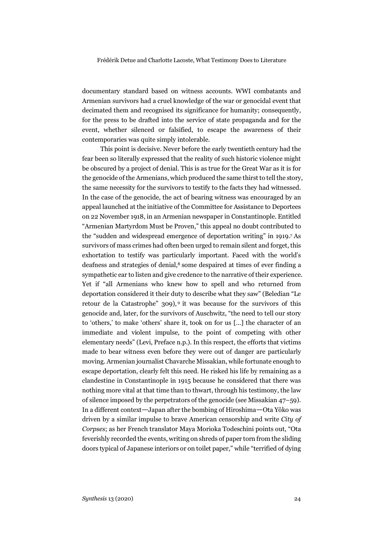documentary standard based on witness accounts. WWI combatants and Armenian survivors had a cruel knowledge of the war or genocidal event that decimated them and recognised its significance for humanity; consequently, for the press to be drafted into the service of state propaganda and for the event, whether silenced or falsified, to escape the awareness of their contemporaries was quite simply intolerable.

This point is decisive. Never before the early twentieth century had the fear been so literally expressed that the reality of such historic violence might be obscured by a project of denial. This is as true for the Great War as it is for the genocide of the Armenians, which produced the same thirst to tell the story, the same necessity for the survivors to testify to the facts they had witnessed. In the case of the genocide, the act of bearing witness was encouraged by an appeal launched at the initiative of the Committee for Assistance to Deportees on 22 November 1918, in an Armenian newspaper in Constantinople. Entitled "Armenian Martyrdom Must be Proven," this appeal no doubt contributed to the "sudden and widespread emergence of deportation writing" in 1919.7 As survivors of mass crimes had often been urged to remain silent and forget, this exhortation to testify was particularly important. Faced with the world's deafness and strategies of denial,8 some despaired at times of ever finding a sympathetic ear to listen and give credence to the narrative of their experience. Yet if "all Armenians who knew how to spell and who returned from deportation considered it their duty to describe what they saw" (Beledian "Le retour de la Catastrophe" 309), <sup>9</sup> it was because for the survivors of this genocide and, later, for the survivors of Auschwitz, "the need to tell our story to 'others,' to make 'others' share it, took on for us […] the character of an immediate and violent impulse, to the point of competing with other elementary needs" (Levi, Preface n.p.). In this respect, the efforts that victims made to bear witness even before they were out of danger are particularly moving. Armenian journalist Chavarche Missakian, while fortunate enough to escape deportation, clearly felt this need. He risked his life by remaining as a clandestine in Constantinople in 1915 because he considered that there was nothing more vital at that time than to thwart, through his testimony, the law of silence imposed by the perpetrators of the genocide (see Missakian 47–59). In a different context—Japan after the bombing of Hiroshima—Ota Yôko was driven by a similar impulse to brave American censorship and write *City of Corpses*; as her French translator Maya Morioka Todeschini points out, "Ota feverishly recorded the events, writing on shreds of paper torn from the sliding doors typical of Japanese interiors or on toilet paper," while "terrified of dying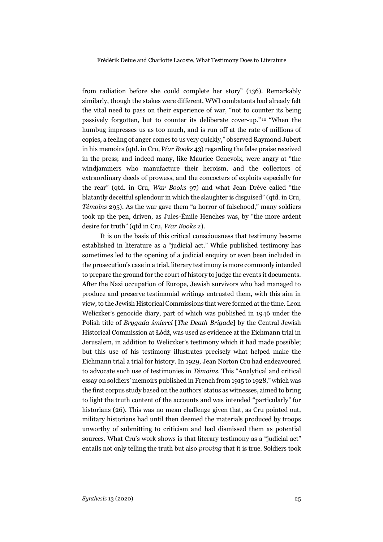from radiation before she could complete her story" (136). Remarkably similarly, though the stakes were different, WWI combatants had already felt the vital need to pass on their experience of war, "not to counter its being passively forgotten, but to counter its deliberate cover-up." <sup>10</sup> "When the humbug impresses us as too much, and is run off at the rate of millions of copies, a feeling of anger comes to us very quickly," observed Raymond Jubert in his memoirs (qtd. in Cru, *War Books* 43) regarding the false praise received in the press; and indeed many, like Maurice Genevoix, were angry at "the windjammers who manufacture their heroism, and the collectors of extraordinary deeds of prowess, and the concocters of exploits especially for the rear" (qtd. in Cru, *War Books* 97) and what Jean Drève called "the blatantly deceitful splendour in which the slaughter is disguised" (qtd. in Cru, *Témoins* 295). As the war gave them "a horror of falsehood," many soldiers took up the pen, driven, as Jules-Émile Henches was, by "the more ardent desire for truth" (qtd in Cru, *War Books* 2).

It is on the basis of this critical consciousness that testimony became established in literature as a "judicial act." While published testimony has sometimes led to the opening of a judicial enquiry or even been included in the prosecution's case in a trial, literary testimony is more commonly intended to prepare the ground for the court of history to judge the events it documents. After the Nazi occupation of Europe, Jewish survivors who had managed to produce and preserve testimonial writings entrusted them, with this aim in view, to the Jewish Historical Commissions that were formed at the time. Leon Weliczker's genocide diary, part of which was published in 1946 under the Polish title of *Brygada śmierci* [*The Death Brigade*] by the Central Jewish Historical Commission at Łódź, was used as evidence at the Eichmann trial in Jerusalem, in addition to Weliczker's testimony which it had made possible; but this use of his testimony illustrates precisely what helped make the Eichmann trial a trial for history. In 1929, Jean Norton Cru had endeavoured to advocate such use of testimonies in *Témoins*. This "Analytical and critical essay on soldiers' memoirs published in French from 1915 to 1928," which was the first corpus study based on the authors' status as witnesses, aimed to bring to light the truth content of the accounts and was intended "particularly" for historians (26). This was no mean challenge given that, as Cru pointed out, military historians had until then deemed the materials produced by troops unworthy of submitting to criticism and had dismissed them as potential sources. What Cru's work shows is that literary testimony as a "judicial act" entails not only telling the truth but also *proving* that it is true. Soldiers took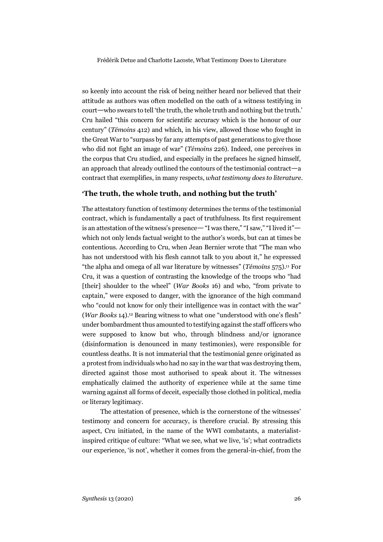so keenly into account the risk of being neither heard nor believed that their attitude as authors was often modelled on the oath of a witness testifying in court—who swears to tell 'the truth, the whole truth and nothing but the truth.' Cru hailed "this concern for scientific accuracy which is the honour of our century" (*Témoins* 412) and which, in his view, allowed those who fought in the Great War to "surpass by far any attempts of past generations to give those who did not fight an image of war" (*Témoins* 226). Indeed, one perceives in the corpus that Cru studied, and especially in the prefaces he signed himself, an approach that already outlined the contours of the testimonial contract—a contract that exemplifies, in many respects, *what testimony does to literature*.

# **'The truth, the whole truth, and nothing but the truth'**

The attestatory function of testimony determines the terms of the testimonial contract, which is fundamentally a pact of truthfulness. Its first requirement is an attestation of the witness's presence— "I was there," "I saw," "I lived it" which not only lends factual weight to the author's words, but can at times be contentious. According to Cru, when Jean Bernier wrote that "The man who has not understood with his flesh cannot talk to you about it," he expressed "the alpha and omega of all war literature by witnesses" (*Témoins* 575).11 For Cru, it was a question of contrasting the knowledge of the troops who "had [their] shoulder to the wheel" (*War Books* 16) and who, "from private to captain," were exposed to danger, with the ignorance of the high command who "could not know for only their intelligence was in contact with the war" (*War Books* 14).12 Bearing witness to what one "understood with one's flesh" under bombardment thus amounted to testifying against the staff officers who were supposed to know but who, through blindness and/or ignorance (disinformation is denounced in many testimonies), were responsible for countless deaths. It is not immaterial that the testimonial genre originated as a protest from individuals who had no say in the war that was destroying them, directed against those most authorised to speak about it. The witnesses emphatically claimed the authority of experience while at the same time warning against all forms of deceit, especially those clothed in political, media or literary legitimacy.

The attestation of presence, which is the cornerstone of the witnesses' testimony and concern for accuracy, is therefore crucial. By stressing this aspect, Cru initiated, in the name of the WWI combatants, a materialistinspired critique of culture: "What we see, what we live, 'is'; what contradicts our experience, 'is not', whether it comes from the general-in-chief, from the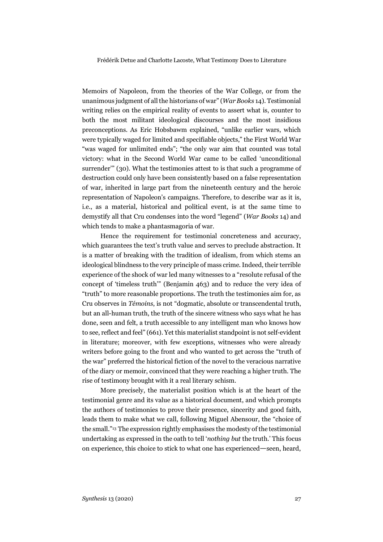Memoirs of Napoleon, from the theories of the War College, or from the unanimous judgment of all the historians of war" (*War Books* 14). Testimonial writing relies on the empirical reality of events to assert what is, counter to both the most militant ideological discourses and the most insidious preconceptions. As Eric Hobsbawm explained, "unlike earlier wars, which were typically waged for limited and specifiable objects," the First World War "was waged for unlimited ends"; "the only war aim that counted was total victory: what in the Second World War came to be called 'unconditional surrender'" (30). What the testimonies attest to is that such a programme of destruction could only have been consistently based on a false representation of war, inherited in large part from the nineteenth century and the heroic representation of Napoleon's campaigns. Therefore, to describe war as it is, i.e., as a material, historical and political event, is at the same time to demystify all that Cru condenses into the word "legend" (*War Books* 14) and which tends to make a phantasmagoria of war.

Hence the requirement for testimonial concreteness and accuracy, which guarantees the text's truth value and serves to preclude abstraction. It is a matter of breaking with the tradition of idealism, from which stems an ideological blindness to the very principle of mass crime. Indeed, their terrible experience of the shock of war led many witnesses to a "resolute refusal of the concept of 'timeless truth'" (Benjamin 463) and to reduce the very idea of "truth" to more reasonable proportions. The truth the testimonies aim for, as Cru observes in *Témoins*, is not "dogmatic, absolute or transcendental truth, but an all-human truth, the truth of the sincere witness who says what he has done, seen and felt, a truth accessible to any intelligent man who knows how to see, reflect and feel" (661). Yet this materialist standpoint is not self-evident in literature; moreover, with few exceptions, witnesses who were already writers before going to the front and who wanted to get across the "truth of the war" preferred the historical fiction of the novel to the veracious narrative of the diary or memoir, convinced that they were reaching a higher truth. The rise of testimony brought with it a real literary schism.

More precisely, the materialist position which is at the heart of the testimonial genre and its value as a historical document, and which prompts the authors of testimonies to prove their presence, sincerity and good faith, leads them to make what we call, following Miguel Abensour, the "choice of the small."13 The expression rightly emphasises the modesty of the testimonial undertaking as expressed in the oath to tell '*nothing but* the truth.' This focus on experience, this choice to stick to what one has experienced—seen, heard,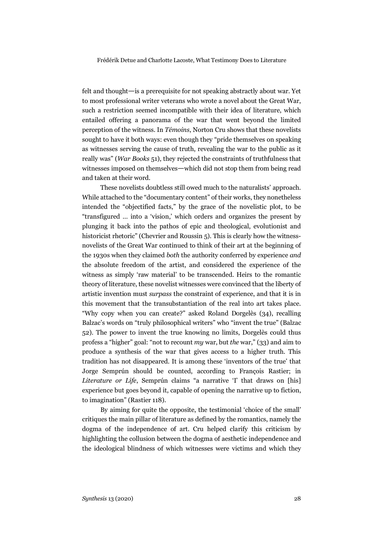felt and thought—is a prerequisite for not speaking abstractly about war. Yet to most professional writer veterans who wrote a novel about the Great War, such a restriction seemed incompatible with their idea of literature, which entailed offering a panorama of the war that went beyond the limited perception of the witness. In *Témoins*, Norton Cru shows that these novelists sought to have it both ways: even though they "pride themselves on speaking as witnesses serving the cause of truth, revealing the war to the public as it really was" (*War Books* 51), they rejected the constraints of truthfulness that witnesses imposed on themselves—which did not stop them from being read and taken at their word.

These novelists doubtless still owed much to the naturalists' approach. While attached to the "documentary content" of their works, they nonetheless intended the "objectified facts," by the grace of the novelistic plot, to be "transfigured … into a 'vision,' which orders and organizes the present by plunging it back into the pathos of epic and theological, evolutionist and historicist rhetoric" (Chevrier and Roussin 5). This is clearly how the witnessnovelists of the Great War continued to think of their art at the beginning of the 1930s when they claimed *both* the authority conferred by experience *and* the absolute freedom of the artist, and considered the experience of the witness as simply 'raw material' to be transcended. Heirs to the romantic theory of literature, these novelist witnesses were convinced that the liberty of artistic invention must *surpass* the constraint of experience, and that it is in this movement that the transubstantiation of the real into art takes place. "Why copy when you can create?" asked Roland Dorgelès (34), recalling Balzac's words on "truly philosophical writers" who "invent the true" (Balzac 52). The power to invent the true knowing no limits, Dorgelès could thus profess a "higher" goal: "not to recount *my* war, but *the* war," (33) and aim to produce a synthesis of the war that gives access to a higher truth. This tradition has not disappeared. It is among these 'inventors of the true' that Jorge Semprún should be counted, according to François Rastier; in *Literature or Life*, Semprún claims "a narrative 'I' that draws on [his] experience but goes beyond it, capable of opening the narrative up to fiction, to imagination" (Rastier 118).

By aiming for quite the opposite, the testimonial 'choice of the small' critiques the main pillar of literature as defined by the romantics, namely the dogma of the independence of art. Cru helped clarify this criticism by highlighting the collusion between the dogma of aesthetic independence and the ideological blindness of which witnesses were victims and which they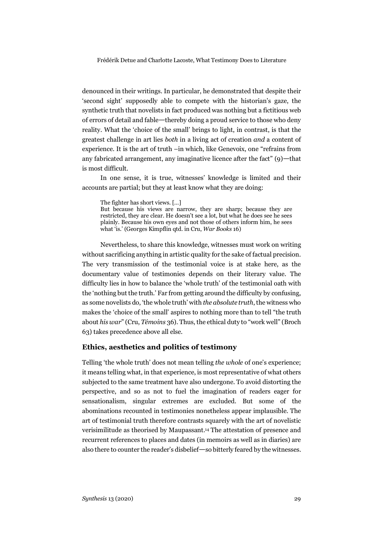denounced in their writings. In particular, he demonstrated that despite their 'second sight' supposedly able to compete with the historian's gaze, the synthetic truth that novelists in fact produced was nothing but a fictitious web of errors of detail and fable—thereby doing a proud service to those who deny reality. What the 'choice of the small' brings to light, in contrast, is that the greatest challenge in art lies *both* in a living act of creation *and* a content of experience. It is the art of truth –in which, like Genevoix, one "refrains from any fabricated arrangement, any imaginative licence after the fact" (9)—that is most difficult.

In one sense, it is true, witnesses' knowledge is limited and their accounts are partial; but they at least know what they are doing:

The fighter has short views. […] But because his views are narrow, they are sharp; because they are restricted, they are clear. He doesn't see a lot, but what he does see he sees plainly. Because his own eyes and not those of others inform him, he sees what 'is.' (Georges Kimpflin qtd. in Cru, *War Books* 16)

Nevertheless, to share this knowledge, witnesses must work on writing without sacrificing anything in artistic quality for the sake of factual precision. The very transmission of the testimonial voice is at stake here, as the documentary value of testimonies depends on their literary value. The difficulty lies in how to balance the 'whole truth' of the testimonial oath with the 'nothing but the truth.' Far from getting around the difficulty by confusing, as some novelists do, 'the whole truth' with *the absolute truth*, the witness who makes the 'choice of the small' aspires to nothing more than to tell "the truth about *his war*" (Cru, *Témoins* 36). Thus, the ethical duty to "work well" (Broch 63) takes precedence above all else.

## **Ethics, aesthetics and politics of testimony**

Telling 'the whole truth' does not mean telling *the whole* of one's experience; it means telling what, in that experience, is most representative of what others subjected to the same treatment have also undergone. To avoid distorting the perspective, and so as not to fuel the imagination of readers eager for sensationalism, singular extremes are excluded. But some of the abominations recounted in testimonies nonetheless appear implausible. The art of testimonial truth therefore contrasts squarely with the art of novelistic verisimilitude as theorised by Maupassant.14 The attestation of presence and recurrent references to places and dates (in memoirs as well as in diaries) are also there to counter the reader's disbelief—so bitterly feared by the witnesses.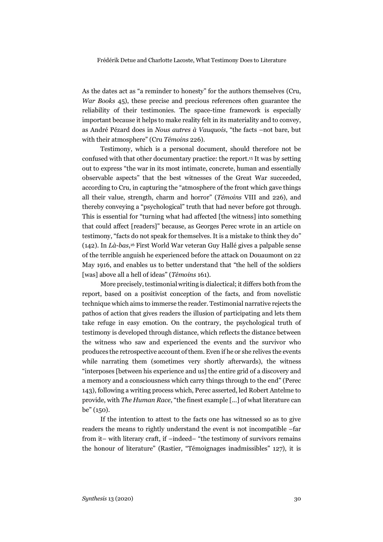As the dates act as "a reminder to honesty" for the authors themselves (Cru, *War Books* 45), these precise and precious references often guarantee the reliability of their testimonies. The space-time framework is especially important because it helps to make reality felt in its materiality and to convey, as André Pézard does in *Nous autres à Vauquois*, "the facts –not bare, but with their atmosphere" (Cru *Témoins* 226).

Testimony, which is a personal document, should therefore not be confused with that other documentary practice: the report.15 It was by setting out to express "the war in its most intimate, concrete, human and essentially observable aspects" that the best witnesses of the Great War succeeded, according to Cru, in capturing the "atmosphere of the front which gave things all their value, strength, charm and horror" (*Témoins* VIII and 226), and thereby conveying a "psychological" truth that had never before got through. This is essential for "turning what had affected [the witness] into something that could affect [readers]" because, as Georges Perec wrote in an article on testimony, "facts do not speak for themselves. It is a mistake to think they do" (142). In *Là-bas*,16 First World War veteran Guy Hallé gives a palpable sense of the terrible anguish he experienced before the attack on Douaumont on 22 May 1916, and enables us to better understand that "the hell of the soldiers [was] above all a hell of ideas" (*Témoins* 161).

More precisely, testimonial writing is dialectical; it differs both from the report, based on a positivist conception of the facts, and from novelistic technique which aims to immerse the reader. Testimonial narrative rejects the pathos of action that gives readers the illusion of participating and lets them take refuge in easy emotion. On the contrary, the psychological truth of testimony is developed through distance, which reflects the distance between the witness who saw and experienced the events and the survivor who produces the retrospective account of them. Even if he or she relives the events while narrating them (sometimes very shortly afterwards), the witness "interposes [between his experience and us] the entire grid of a discovery and a memory and a consciousness which carry things through to the end" (Perec 143), following a writing process which, Perec asserted, led Robert Antelme to provide, with *The Human Race*, "the finest example [...] of what literature can be" (150).

If the intention to attest to the facts one has witnessed so as to give readers the means to rightly understand the event is not incompatible –far from it– with literary craft, if –indeed– "the testimony of survivors remains the honour of literature" (Rastier, "Témoignages inadmissibles" 127), it is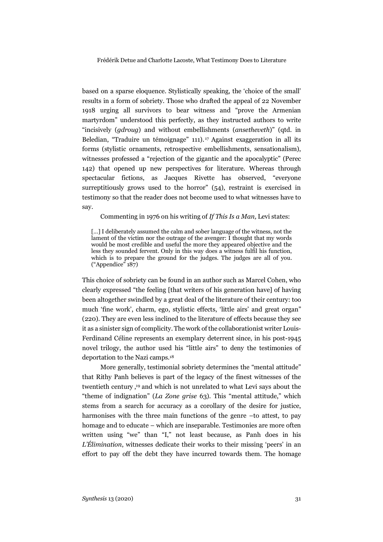based on a sparse eloquence. Stylistically speaking, the 'choice of the small' results in a form of sobriety. Those who drafted the appeal of 22 November 1918 urging all survivors to bear witness and "prove the Armenian martyrdom" understood this perfectly, as they instructed authors to write "incisively (*gdroug*) and without embellishments (*ansetheveth*)" (qtd. in Beledian, "Traduire un témoignage" 111). <sup>17</sup> Against exaggeration in all its forms (stylistic ornaments, retrospective embellishments, sensationalism), witnesses professed a "rejection of the gigantic and the apocalyptic" (Perec 142) that opened up new perspectives for literature. Whereas through spectacular fictions, as Jacques Rivette has observed, "everyone surreptitiously grows used to the horror" (54), restraint is exercised in testimony so that the reader does not become used to what witnesses have to say.

Commenting in 1976 on his writing of *If This Is a Man,* Levi states:

[...] I deliberately assumed the calm and sober language of the witness, not the lament of the victim nor the outrage of the avenger: I thought that my words would be most credible and useful the more they appeared objective and the less they sounded fervent. Only in this way does a witness fulfil his function, which is to prepare the ground for the judges. The judges are all of you. ("Appendice" 187)

This choice of sobriety can be found in an author such as Marcel Cohen, who clearly expressed "the feeling [that writers of his generation have] of having been altogether swindled by a great deal of the literature of their century: too much 'fine work', charm, ego, stylistic effects, 'little airs' and great organ" (220). They are even less inclined to the literature of effects because they see it as a sinister sign of complicity. The work of the collaborationist writer Louis-Ferdinand Céline represents an exemplary deterrent since, in his post-1945 novel trilogy, the author used his "little airs" to deny the testimonies of deportation to the Nazi camps.18

More generally, testimonial sobriety determines the "mental attitude" that Rithy Panh believes is part of the legacy of the finest witnesses of the twentieth century ,19 and which is not unrelated to what Levi says about the "theme of indignation" (*La Zone grise* 63). This "mental attitude," which stems from a search for accuracy as a corollary of the desire for justice, harmonises with the three main functions of the genre –to attest, to pay homage and to educate – which are inseparable. Testimonies are more often written using "we" than "I," not least because, as Panh does in his *L'Élimination*, witnesses dedicate their works to their missing 'peers' in an effort to pay off the debt they have incurred towards them. The homage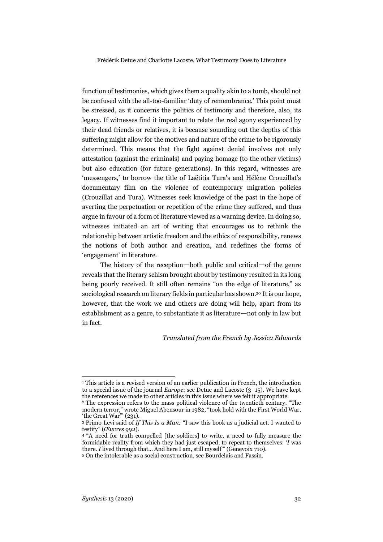function of testimonies, which gives them a quality akin to a tomb, should not be confused with the all-too-familiar 'duty of remembrance.' This point must be stressed, as it concerns the politics of testimony and therefore, also, its legacy. If witnesses find it important to relate the real agony experienced by their dead friends or relatives, it is because sounding out the depths of this suffering might allow for the motives and nature of the crime to be rigorously determined. This means that the fight against denial involves not only attestation (against the criminals) and paying homage (to the other victims) but also education (for future generations). In this regard, witnesses are 'messengers,' to borrow the title of Laëtitia Tura's and Hélène Crouzillat's documentary film on the violence of contemporary migration policies (Crouzillat and Tura). Witnesses seek knowledge of the past in the hope of averting the perpetuation or repetition of the crime they suffered, and thus argue in favour of a form of literature viewed as a warning device. In doing so, witnesses initiated an art of writing that encourages us to rethink the relationship between artistic freedom and the ethics of responsibility, renews the notions of both author and creation, and redefines the forms of 'engagement' in literature.

The history of the reception—both public and critical—of the genre reveals that the literary schism brought about by testimony resulted in its long being poorly received. It still often remains "on the edge of literature," as sociological research on literary fields in particular has shown.20 It is our hope, however, that the work we and others are doing will help, apart from its establishment as a genre, to substantiate it as literature—not only in law but in fact.

### *Translated from the French by Jessica Edwards*

 $\overline{a}$ 

<sup>&</sup>lt;sup>1</sup> This article is a revised version of an earlier publication in French, the introduction to a special issue of the journal *Europe*: see Detue and Lacoste (3–15). We have kept the references we made to other articles in this issue where we felt it appropriate.

<sup>2</sup> The expression refers to the mass political violence of the twentieth century. "The modern terror," wrote Miguel Abensour in 1982, "took hold with the First World War, 'the Great War'" (231).

<sup>3</sup> Primo Levi said of *If This Is a Man:* "I saw this book as a judicial act. I wanted to testify" (*Œuvres* 992).<br><sup>4</sup> "A need for truth compelled [the soldiers] to write, a need to fully measure the

formidable reality from which they had just escaped, to repeat to themselves: '*I* was there. *I* lived through that... And here I am, still myself" (Genevoix 710).

<sup>5</sup> On the intolerable as a social construction, see Bourdelais and Fassin.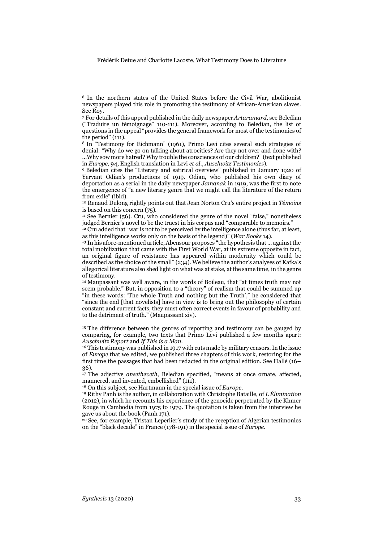<sup>6</sup> In the northern states of the United States before the Civil War, abolitionist newspapers played this role in promoting the testimony of African-American slaves. See Roy.

<sup>7</sup> For details of this appeal published in the daily newspaper *Artaramard*, see Beledian ("Traduire un témoignage" 110-111). Moreover, according to Beledian, the list of questions in the appeal "provides the general framework for most of the testimonies of the period" (111).

<sup>8</sup> In "Testimony for Eichmann" (1961), Primo Levi cites several such strategies of denial: "Why do we go on talking about atrocities? Are they not over and done with? ...Why sow more hatred? Why trouble the consciences of our children?" (text published in *Europe,* 94, English translation in Levi *et al.*, *Auschwitz Testimonies*).

<sup>9</sup> Beledian cites the "Literary and satirical overview" published in January 1920 of Yervant Odian's productions of 1919. Odian, who published his own diary of deportation as a serial in the daily newspaper *Jamanak* in 1919, was the first to note the emergence of "a new literary genre that we might call the literature of the return from exile" (ibid).

<sup>10</sup> Renaud Dulong rightly points out that Jean Norton Cru's entire project in *Témoins* is based on this concern (75).

<sup>11</sup> See Bernier (56). Cru, who considered the genre of the novel "false," nonetheless judged Bernier's novel to be the truest in his corpus and "comparable to memoirs."

<sup>12</sup> Cru added that "war is not to be perceived by the intelligence alone (thus far, at least, as this intelligence works only on the basis of the legend)" (*War Books* 14).

<sup>13</sup> In his afore-mentioned article, Abensour proposes "the hypothesis that ... against the total mobilization that came with the First World War, at its extreme opposite in fact, an original figure of resistance has appeared within modernity which could be described as the choice of the small" (234). We believe the author's analyses of Kafka's allegorical literature also shed light on what was at stake, at the same time, in the genre of testimony.

<sup>14</sup> Maupassant was well aware, in the words of Boileau, that "at times truth may not seem probable." But, in opposition to a "theory" of realism that could be summed up "in these words: 'The whole Truth and nothing but the Truth'," he considered that "since the end [that novelists] have in view is to bring out the philosophy of certain constant and current facts, they must often correct events in favour of probability and to the detriment of truth." (Maupassant xiv).

<sup>15</sup> The difference between the genres of reporting and testimony can be gauged by comparing, for example, two texts that Primo Levi published a few months apart: Auschwitz Report and If This is a Man.

<sup>16</sup> This testimony was published in 1917 with cuts made by military censors. In the issue of *Europe* that we edited, we published three chapters of this work, restoring for the first time the passages that had been redacted in the original edition. See Hallé (16– 36)*.*

<sup>17</sup> The adjective *ansetheveth*, Beledian specified, "means at once ornate, affected, mannered, and invented, embellished" (111).

<sup>18</sup> On this subject, see Hartmann in the special issue of *Europe*.

<sup>19</sup> Rithy Panh is the author, in collaboration with Christophe Bataille, of *L'Élimination* (2012), in which he recounts his experience of the genocide perpetrated by the Khmer Rouge in Cambodia from 1975 to 1979. The quotation is taken from the interview he gave us about the book (Panh 171).

<sup>20</sup> See, for example, Tristan Leperlier's study of the reception of Algerian testimonies on the "black decade" in France (178-191) in the special issue of *Europe*.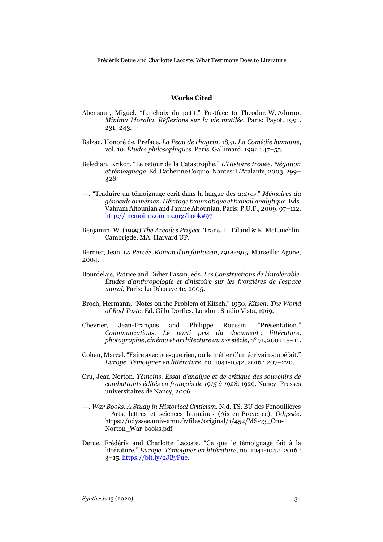#### **Works Cited**

- Abensour, Miguel. "Le choix du petit." Postface to Theodor. W. Adorno, *Minima Moralia. Réflexions sur la vie mutilée*, Paris: Payot, 1991. 231–243.
- Balzac, Honoré de. Preface. *La Peau de chagrin.* 1831. *La Comédie humaine*, vol. 10. *Études philosophiques*. Paris. Gallimard, 1992 : 47–55.
- Beledian, Krikor. "Le retour de la Catastrophe." *L'Histoire trouée. Négation et témoignage*. Ed. Catherine Coquio. Nantes: L'Atalante, 2003. 299– 328.
- ¾. "Traduire un témoignage écrit dans la langue des *autres*." *Mémoires du génocide arménien. Héritage traumatique et travail analytique*. Eds. Vahram Altounian and Janine Altounian, Paris: P.U.F., 2009. 97–112. http://memoires.ommx.org/book#97
- Benjamin, W. (1999) *The Arcades Project*. Trans. H. Eiland & K. McLauchlin. Cambrigde, MA: Harvard UP.

Bernier, Jean. *La Percée. Roman d'un fantassin, 1914-1915*. Marseille: Agone, 2004.

- Bourdelais, Patrice and Didier Fassin, eds. *Les Constructions de l'intolérable. Études d'anthropologie et d'histoire sur les frontières de l'espace moral*, Paris: La Découverte, 2005.
- Broch, Hermann. "Notes on the Problem of Kitsch." 1950. *Kitsch: The World of Bad Taste*. Ed. Gillo Dorfles. London: Studio Vista, 1969.
- Chevrier, Jean-François and Philippe Roussin. "Présentation." *Communications. Le parti pris du document : littérature, photographie, cinéma et architecture au XXe siècle*, n° 71, 2001 : 5–11.
- Cohen, Marcel. "Faire avec presque rien, ou le métier d'un écrivain stupéfait." *Europe. Témoigner en littérature*, no. 1041-1042, 2016 : 207–220.
- Cru, Jean Norton. *Témoins. Essai d'analyse et de critique des souvenirs de combattants édités en français de 1915 à 1928*. 1929. Nancy: Presses universitaires de Nancy, 2006.
- ¾. *War Books. A Study in Historical Criticism.* N.d. TS. BU des Fenouillères - Arts, lettres et sciences humaines (Aix-en-Provence). *Odyssée*. https://odyssee.univ-amu.fr/files/original/1/452/MS-73\_Cru-Norton\_War-books.pdf
- Detue, Frédérik and Charlotte Lacoste. "Ce que le témoignage fait à la littérature." *Europe. Témoigner en littérature*, no. 1041-1042, 2016 : 3–15. https://bit.ly/2JByPue.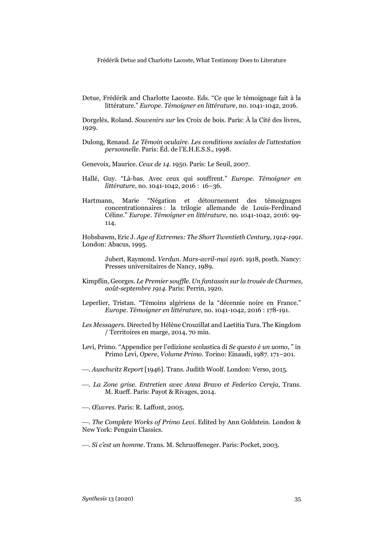Detue, Frédérik and Charlotte Lacoste. Eds. "Ce que le témoignage fait à la littérature." *Europe. Témoigner en littérature*, no. 1041-1042, 2016.

Dorgelès, Roland. *Souvenirs sur* les Croix de bois. Paris: À la Cité des livres, 1929.

- Dulong, Renaud. *Le Témoin oculaire. Les conditions sociales de l'attestation personnelle*. Paris: Éd. de l'E.H.E.S.S., 1998.
- Genevoix, Maurice. *Ceux de 14*. 1950. Paris: Le Seuil, 2007.
- Hallé, Guy. "Là-bas. Avec ceux qui souffrent." *Europe. Témoigner en littérature*, no. 1041-1042, 2016 : 16–36.
- Hartmann, Marie "Négation et détournement des témoignages concentrationnaires : la trilogie allemande de Louis-Ferdinand Céline." *Europe. Témoigner en littérature*, no. 1041-1042, 2016: 99- 114.

Hobsbawm, Eric J. *Age of Extremes: The Short Twentieth Century, 1914-1991*. London: Abacus, 1995.

> Jubert, Raymond. *Verdun. Mars-avril-mai 1916*. 1918, posth. Nancy: Presses universitaires de Nancy, 1989.

- Kimpflin, Georges. *Le Premier souffle. Un fantassin sur la trouée de Charmes, août-septembre 1914*. Paris: Perrin, 1920.
- Leperlier, Tristan. "Témoins algériens de la "décennie noire en France." *Europe. Témoigner en littérature*, no. 1041-1042, 2016 : 178-191.
- *Les Messagers*. Directed by Hélène Crouzillat and Laetitia Tura. The Kingdom / Territoires en marge, 2014, 70 min.
- Levi, Primo. "Appendice per l'edizione scolastica di *Se questo è un uomo*, " in Primo Levi, *Opere, Volume Primo.* Torino: Einaudi, 1987. 171–201.
- ¾*. Auschwitz Report* [1946]. Trans. Judith Woolf. London: Verso, 2015.
- ¾. *La Zone grise. Entretien avec Anna Bravo et Federico Cereja*, Trans. M. Rueff. Paris: Payot & Rivages, 2014.
- ¾. *Œuvres*. Paris: R. Laffont, 2005.

¾. *The Complete Works of Primo Levi*. Edited by Ann Goldstein. London & New York: Penguin Classics.

¾. *Si c'est un homme*. Trans. M. Schruoffeneger. Paris: Pocket, 2003.